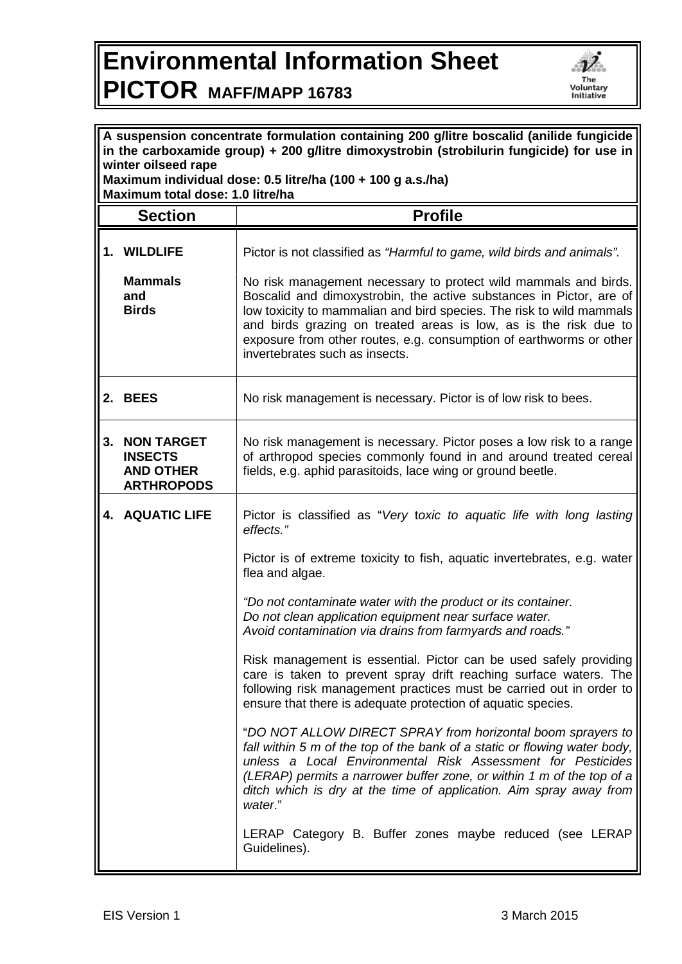## **Environmental Information Sheet PICTOR MAFF/MAPP 16783**



| A suspension concentrate formulation containing 200 g/litre boscalid (anilide fungicide<br>in the carboxamide group) + 200 g/litre dimoxystrobin (strobilurin fungicide) for use in<br>winter oilseed rape |                                                                              |                                                                                                                                                                                                                                                                                                                                                                   |  |
|------------------------------------------------------------------------------------------------------------------------------------------------------------------------------------------------------------|------------------------------------------------------------------------------|-------------------------------------------------------------------------------------------------------------------------------------------------------------------------------------------------------------------------------------------------------------------------------------------------------------------------------------------------------------------|--|
| Maximum individual dose: 0.5 litre/ha (100 + 100 g a.s./ha)<br>Maximum total dose: 1.0 litre/ha                                                                                                            |                                                                              |                                                                                                                                                                                                                                                                                                                                                                   |  |
|                                                                                                                                                                                                            | <b>Section</b>                                                               | <b>Profile</b>                                                                                                                                                                                                                                                                                                                                                    |  |
|                                                                                                                                                                                                            | 1. WILDLIFE<br><b>Mammals</b><br>and<br><b>Birds</b>                         | Pictor is not classified as "Harmful to game, wild birds and animals".<br>No risk management necessary to protect wild mammals and birds.<br>Boscalid and dimoxystrobin, the active substances in Pictor, are of<br>low toxicity to mammalian and bird species. The risk to wild mammals<br>and birds grazing on treated areas is low, as is the risk due to      |  |
|                                                                                                                                                                                                            |                                                                              | exposure from other routes, e.g. consumption of earthworms or other<br>invertebrates such as insects.                                                                                                                                                                                                                                                             |  |
|                                                                                                                                                                                                            | 2. BEES                                                                      | No risk management is necessary. Pictor is of low risk to bees.                                                                                                                                                                                                                                                                                                   |  |
| 3.                                                                                                                                                                                                         | <b>NON TARGET</b><br><b>INSECTS</b><br><b>AND OTHER</b><br><b>ARTHROPODS</b> | No risk management is necessary. Pictor poses a low risk to a range<br>of arthropod species commonly found in and around treated cereal<br>fields, e.g. aphid parasitoids, lace wing or ground beetle.                                                                                                                                                            |  |
|                                                                                                                                                                                                            | 4. AQUATIC LIFE                                                              | Pictor is classified as "Very toxic to aquatic life with long lasting<br>effects."                                                                                                                                                                                                                                                                                |  |
|                                                                                                                                                                                                            |                                                                              | Pictor is of extreme toxicity to fish, aquatic invertebrates, e.g. water<br>flea and algae.                                                                                                                                                                                                                                                                       |  |
|                                                                                                                                                                                                            |                                                                              | "Do not contaminate water with the product or its container.<br>Do not clean application equipment near surface water.<br>Avoid contamination via drains from farmyards and roads."                                                                                                                                                                               |  |
|                                                                                                                                                                                                            |                                                                              | Risk management is essential. Pictor can be used safely providing<br>care is taken to prevent spray drift reaching surface waters. The<br>following risk management practices must be carried out in order to<br>ensure that there is adequate protection of aquatic species.                                                                                     |  |
|                                                                                                                                                                                                            |                                                                              | "DO NOT ALLOW DIRECT SPRAY from horizontal boom sprayers to<br>fall within 5 m of the top of the bank of a static or flowing water body,<br>unless a Local Environmental Risk Assessment for Pesticides<br>(LERAP) permits a narrower buffer zone, or within 1 m of the top of a<br>ditch which is dry at the time of application. Aim spray away from<br>water." |  |
|                                                                                                                                                                                                            |                                                                              | LERAP Category B. Buffer zones maybe reduced (see LERAP<br>Guidelines).                                                                                                                                                                                                                                                                                           |  |